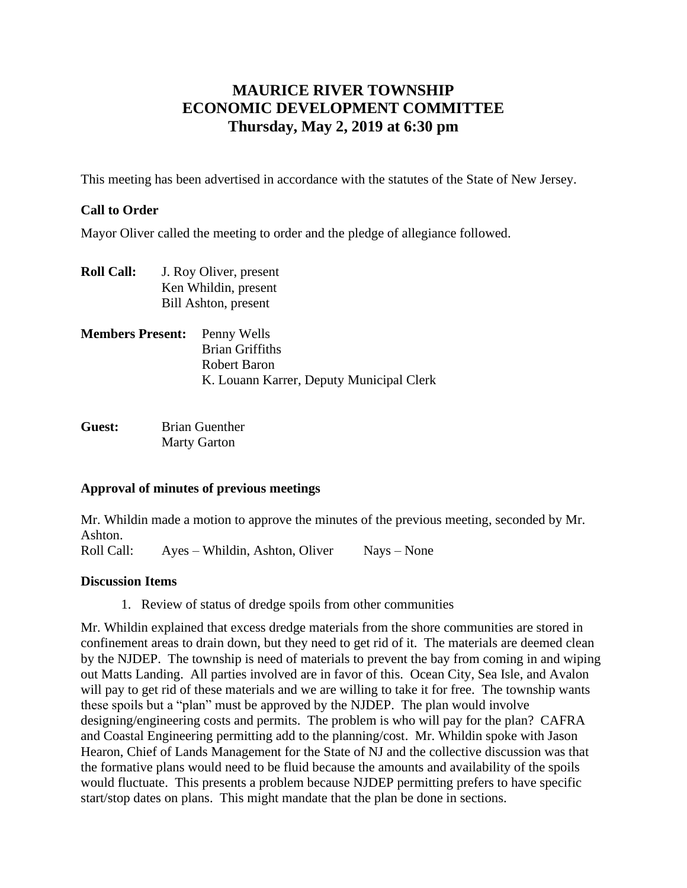# **MAURICE RIVER TOWNSHIP ECONOMIC DEVELOPMENT COMMITTEE Thursday, May 2, 2019 at 6:30 pm**

This meeting has been advertised in accordance with the statutes of the State of New Jersey.

### **Call to Order**

Mayor Oliver called the meeting to order and the pledge of allegiance followed.

- **Roll Call:** J. Roy Oliver, present Ken Whildin, present Bill Ashton, present
- **Members Present:** Penny Wells Brian Griffiths Robert Baron K. Louann Karrer, Deputy Municipal Clerk
- **Guest:** Brian Guenther Marty Garton

#### **Approval of minutes of previous meetings**

Mr. Whildin made a motion to approve the minutes of the previous meeting, seconded by Mr. Ashton.

Roll Call: Ayes – Whildin, Ashton, Oliver Nays – None

#### **Discussion Items**

1. Review of status of dredge spoils from other communities

Mr. Whildin explained that excess dredge materials from the shore communities are stored in confinement areas to drain down, but they need to get rid of it. The materials are deemed clean by the NJDEP. The township is need of materials to prevent the bay from coming in and wiping out Matts Landing. All parties involved are in favor of this. Ocean City, Sea Isle, and Avalon will pay to get rid of these materials and we are willing to take it for free. The township wants these spoils but a "plan" must be approved by the NJDEP. The plan would involve designing/engineering costs and permits. The problem is who will pay for the plan? CAFRA and Coastal Engineering permitting add to the planning/cost. Mr. Whildin spoke with Jason Hearon, Chief of Lands Management for the State of NJ and the collective discussion was that the formative plans would need to be fluid because the amounts and availability of the spoils would fluctuate. This presents a problem because NJDEP permitting prefers to have specific start/stop dates on plans. This might mandate that the plan be done in sections.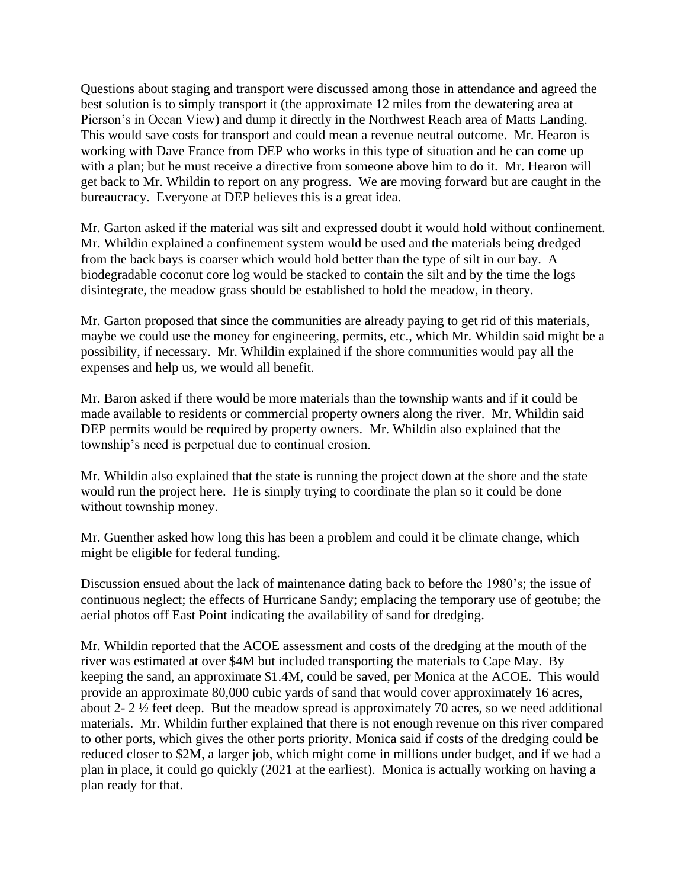Questions about staging and transport were discussed among those in attendance and agreed the best solution is to simply transport it (the approximate 12 miles from the dewatering area at Pierson's in Ocean View) and dump it directly in the Northwest Reach area of Matts Landing. This would save costs for transport and could mean a revenue neutral outcome. Mr. Hearon is working with Dave France from DEP who works in this type of situation and he can come up with a plan; but he must receive a directive from someone above him to do it. Mr. Hearon will get back to Mr. Whildin to report on any progress. We are moving forward but are caught in the bureaucracy. Everyone at DEP believes this is a great idea.

Mr. Garton asked if the material was silt and expressed doubt it would hold without confinement. Mr. Whildin explained a confinement system would be used and the materials being dredged from the back bays is coarser which would hold better than the type of silt in our bay. A biodegradable coconut core log would be stacked to contain the silt and by the time the logs disintegrate, the meadow grass should be established to hold the meadow, in theory.

Mr. Garton proposed that since the communities are already paying to get rid of this materials, maybe we could use the money for engineering, permits, etc., which Mr. Whildin said might be a possibility, if necessary. Mr. Whildin explained if the shore communities would pay all the expenses and help us, we would all benefit.

Mr. Baron asked if there would be more materials than the township wants and if it could be made available to residents or commercial property owners along the river. Mr. Whildin said DEP permits would be required by property owners. Mr. Whildin also explained that the township's need is perpetual due to continual erosion.

Mr. Whildin also explained that the state is running the project down at the shore and the state would run the project here. He is simply trying to coordinate the plan so it could be done without township money.

Mr. Guenther asked how long this has been a problem and could it be climate change, which might be eligible for federal funding.

Discussion ensued about the lack of maintenance dating back to before the 1980's; the issue of continuous neglect; the effects of Hurricane Sandy; emplacing the temporary use of geotube; the aerial photos off East Point indicating the availability of sand for dredging.

Mr. Whildin reported that the ACOE assessment and costs of the dredging at the mouth of the river was estimated at over \$4M but included transporting the materials to Cape May. By keeping the sand, an approximate \$1.4M, could be saved, per Monica at the ACOE. This would provide an approximate 80,000 cubic yards of sand that would cover approximately 16 acres, about 2- 2 ½ feet deep. But the meadow spread is approximately 70 acres, so we need additional materials. Mr. Whildin further explained that there is not enough revenue on this river compared to other ports, which gives the other ports priority. Monica said if costs of the dredging could be reduced closer to \$2M, a larger job, which might come in millions under budget, and if we had a plan in place, it could go quickly (2021 at the earliest). Monica is actually working on having a plan ready for that.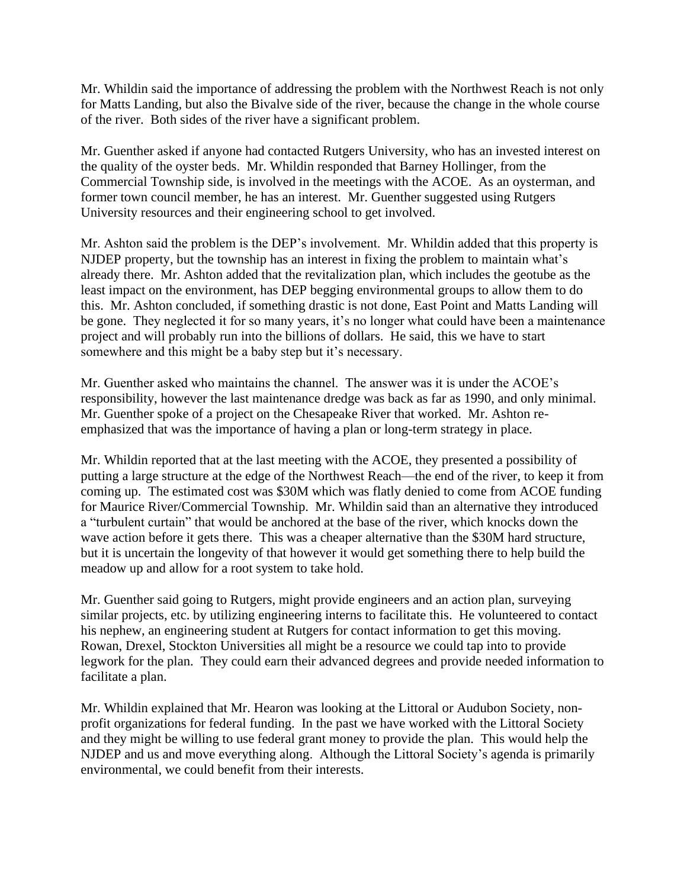Mr. Whildin said the importance of addressing the problem with the Northwest Reach is not only for Matts Landing, but also the Bivalve side of the river, because the change in the whole course of the river. Both sides of the river have a significant problem.

Mr. Guenther asked if anyone had contacted Rutgers University, who has an invested interest on the quality of the oyster beds. Mr. Whildin responded that Barney Hollinger, from the Commercial Township side, is involved in the meetings with the ACOE. As an oysterman, and former town council member, he has an interest. Mr. Guenther suggested using Rutgers University resources and their engineering school to get involved.

Mr. Ashton said the problem is the DEP's involvement. Mr. Whildin added that this property is NJDEP property, but the township has an interest in fixing the problem to maintain what's already there. Mr. Ashton added that the revitalization plan, which includes the geotube as the least impact on the environment, has DEP begging environmental groups to allow them to do this. Mr. Ashton concluded, if something drastic is not done, East Point and Matts Landing will be gone. They neglected it for so many years, it's no longer what could have been a maintenance project and will probably run into the billions of dollars. He said, this we have to start somewhere and this might be a baby step but it's necessary.

Mr. Guenther asked who maintains the channel. The answer was it is under the ACOE's responsibility, however the last maintenance dredge was back as far as 1990, and only minimal. Mr. Guenther spoke of a project on the Chesapeake River that worked. Mr. Ashton reemphasized that was the importance of having a plan or long-term strategy in place.

Mr. Whildin reported that at the last meeting with the ACOE, they presented a possibility of putting a large structure at the edge of the Northwest Reach—the end of the river, to keep it from coming up. The estimated cost was \$30M which was flatly denied to come from ACOE funding for Maurice River/Commercial Township. Mr. Whildin said than an alternative they introduced a "turbulent curtain" that would be anchored at the base of the river, which knocks down the wave action before it gets there. This was a cheaper alternative than the \$30M hard structure, but it is uncertain the longevity of that however it would get something there to help build the meadow up and allow for a root system to take hold.

Mr. Guenther said going to Rutgers, might provide engineers and an action plan, surveying similar projects, etc. by utilizing engineering interns to facilitate this. He volunteered to contact his nephew, an engineering student at Rutgers for contact information to get this moving. Rowan, Drexel, Stockton Universities all might be a resource we could tap into to provide legwork for the plan. They could earn their advanced degrees and provide needed information to facilitate a plan.

Mr. Whildin explained that Mr. Hearon was looking at the Littoral or Audubon Society, nonprofit organizations for federal funding. In the past we have worked with the Littoral Society and they might be willing to use federal grant money to provide the plan. This would help the NJDEP and us and move everything along. Although the Littoral Society's agenda is primarily environmental, we could benefit from their interests.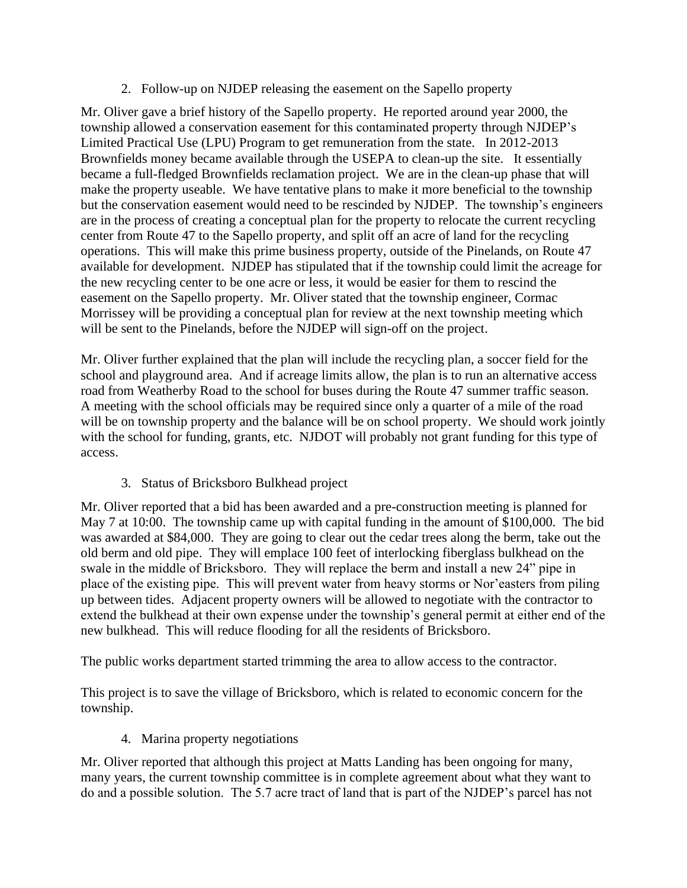2. Follow-up on NJDEP releasing the easement on the Sapello property

Mr. Oliver gave a brief history of the Sapello property. He reported around year 2000, the township allowed a conservation easement for this contaminated property through NJDEP's Limited Practical Use (LPU) Program to get remuneration from the state. In 2012-2013 Brownfields money became available through the USEPA to clean-up the site. It essentially became a full-fledged Brownfields reclamation project. We are in the clean-up phase that will make the property useable. We have tentative plans to make it more beneficial to the township but the conservation easement would need to be rescinded by NJDEP. The township's engineers are in the process of creating a conceptual plan for the property to relocate the current recycling center from Route 47 to the Sapello property, and split off an acre of land for the recycling operations. This will make this prime business property, outside of the Pinelands, on Route 47 available for development. NJDEP has stipulated that if the township could limit the acreage for the new recycling center to be one acre or less, it would be easier for them to rescind the easement on the Sapello property. Mr. Oliver stated that the township engineer, Cormac Morrissey will be providing a conceptual plan for review at the next township meeting which will be sent to the Pinelands, before the NJDEP will sign-off on the project.

Mr. Oliver further explained that the plan will include the recycling plan, a soccer field for the school and playground area. And if acreage limits allow, the plan is to run an alternative access road from Weatherby Road to the school for buses during the Route 47 summer traffic season. A meeting with the school officials may be required since only a quarter of a mile of the road will be on township property and the balance will be on school property. We should work jointly with the school for funding, grants, etc. NJDOT will probably not grant funding for this type of access.

# 3. Status of Bricksboro Bulkhead project

Mr. Oliver reported that a bid has been awarded and a pre-construction meeting is planned for May 7 at 10:00. The township came up with capital funding in the amount of \$100,000. The bid was awarded at \$84,000. They are going to clear out the cedar trees along the berm, take out the old berm and old pipe. They will emplace 100 feet of interlocking fiberglass bulkhead on the swale in the middle of Bricksboro. They will replace the berm and install a new 24" pipe in place of the existing pipe. This will prevent water from heavy storms or Nor'easters from piling up between tides. Adjacent property owners will be allowed to negotiate with the contractor to extend the bulkhead at their own expense under the township's general permit at either end of the new bulkhead. This will reduce flooding for all the residents of Bricksboro.

The public works department started trimming the area to allow access to the contractor.

This project is to save the village of Bricksboro, which is related to economic concern for the township.

4. Marina property negotiations

Mr. Oliver reported that although this project at Matts Landing has been ongoing for many, many years, the current township committee is in complete agreement about what they want to do and a possible solution. The 5.7 acre tract of land that is part of the NJDEP's parcel has not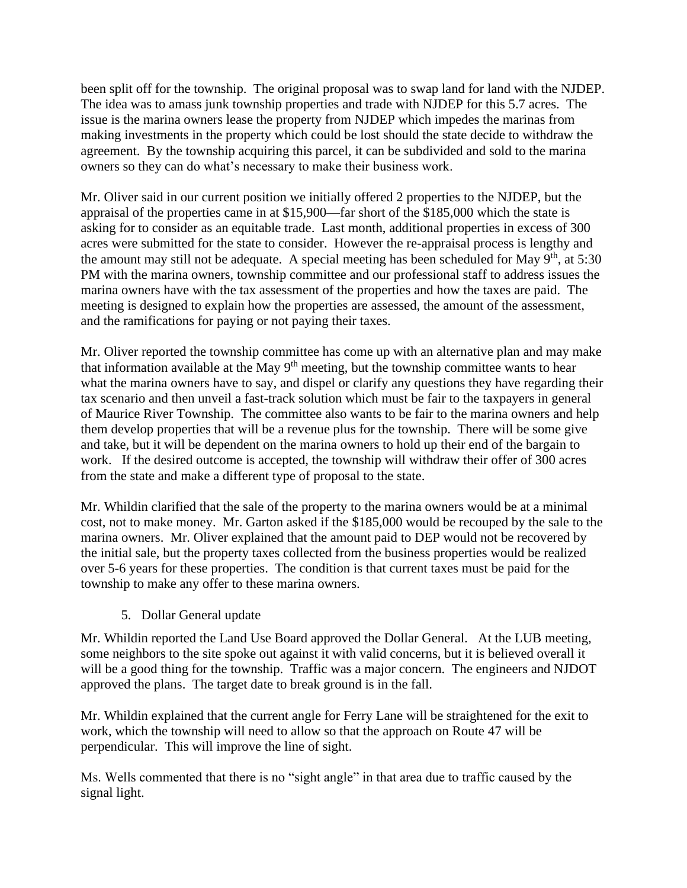been split off for the township. The original proposal was to swap land for land with the NJDEP. The idea was to amass junk township properties and trade with NJDEP for this 5.7 acres. The issue is the marina owners lease the property from NJDEP which impedes the marinas from making investments in the property which could be lost should the state decide to withdraw the agreement. By the township acquiring this parcel, it can be subdivided and sold to the marina owners so they can do what's necessary to make their business work.

Mr. Oliver said in our current position we initially offered 2 properties to the NJDEP, but the appraisal of the properties came in at \$15,900—far short of the \$185,000 which the state is asking for to consider as an equitable trade. Last month, additional properties in excess of 300 acres were submitted for the state to consider. However the re-appraisal process is lengthy and the amount may still not be adequate. A special meeting has been scheduled for May  $9<sup>th</sup>$ , at 5:30 PM with the marina owners, township committee and our professional staff to address issues the marina owners have with the tax assessment of the properties and how the taxes are paid. The meeting is designed to explain how the properties are assessed, the amount of the assessment, and the ramifications for paying or not paying their taxes.

Mr. Oliver reported the township committee has come up with an alternative plan and may make that information available at the May  $9<sup>th</sup>$  meeting, but the township committee wants to hear what the marina owners have to say, and dispel or clarify any questions they have regarding their tax scenario and then unveil a fast-track solution which must be fair to the taxpayers in general of Maurice River Township. The committee also wants to be fair to the marina owners and help them develop properties that will be a revenue plus for the township. There will be some give and take, but it will be dependent on the marina owners to hold up their end of the bargain to work. If the desired outcome is accepted, the township will withdraw their offer of 300 acres from the state and make a different type of proposal to the state.

Mr. Whildin clarified that the sale of the property to the marina owners would be at a minimal cost, not to make money. Mr. Garton asked if the \$185,000 would be recouped by the sale to the marina owners. Mr. Oliver explained that the amount paid to DEP would not be recovered by the initial sale, but the property taxes collected from the business properties would be realized over 5-6 years for these properties. The condition is that current taxes must be paid for the township to make any offer to these marina owners.

5. Dollar General update

Mr. Whildin reported the Land Use Board approved the Dollar General. At the LUB meeting, some neighbors to the site spoke out against it with valid concerns, but it is believed overall it will be a good thing for the township. Traffic was a major concern. The engineers and NJDOT approved the plans. The target date to break ground is in the fall.

Mr. Whildin explained that the current angle for Ferry Lane will be straightened for the exit to work, which the township will need to allow so that the approach on Route 47 will be perpendicular. This will improve the line of sight.

Ms. Wells commented that there is no "sight angle" in that area due to traffic caused by the signal light.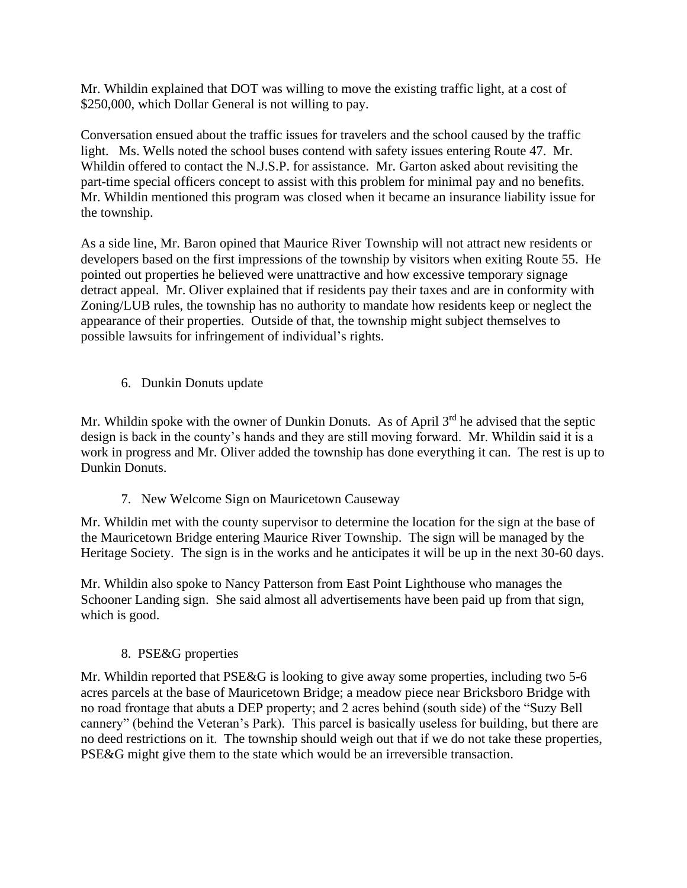Mr. Whildin explained that DOT was willing to move the existing traffic light, at a cost of \$250,000, which Dollar General is not willing to pay.

Conversation ensued about the traffic issues for travelers and the school caused by the traffic light. Ms. Wells noted the school buses contend with safety issues entering Route 47. Mr. Whildin offered to contact the N.J.S.P. for assistance. Mr. Garton asked about revisiting the part-time special officers concept to assist with this problem for minimal pay and no benefits. Mr. Whildin mentioned this program was closed when it became an insurance liability issue for the township.

As a side line, Mr. Baron opined that Maurice River Township will not attract new residents or developers based on the first impressions of the township by visitors when exiting Route 55. He pointed out properties he believed were unattractive and how excessive temporary signage detract appeal. Mr. Oliver explained that if residents pay their taxes and are in conformity with Zoning/LUB rules, the township has no authority to mandate how residents keep or neglect the appearance of their properties. Outside of that, the township might subject themselves to possible lawsuits for infringement of individual's rights.

6. Dunkin Donuts update

Mr. Whildin spoke with the owner of Dunkin Donuts. As of April  $3<sup>rd</sup>$  he advised that the septic design is back in the county's hands and they are still moving forward. Mr. Whildin said it is a work in progress and Mr. Oliver added the township has done everything it can. The rest is up to Dunkin Donuts.

7. New Welcome Sign on Mauricetown Causeway

Mr. Whildin met with the county supervisor to determine the location for the sign at the base of the Mauricetown Bridge entering Maurice River Township. The sign will be managed by the Heritage Society. The sign is in the works and he anticipates it will be up in the next 30-60 days.

Mr. Whildin also spoke to Nancy Patterson from East Point Lighthouse who manages the Schooner Landing sign. She said almost all advertisements have been paid up from that sign, which is good.

# 8. PSE&G properties

Mr. Whildin reported that PSE&G is looking to give away some properties, including two 5-6 acres parcels at the base of Mauricetown Bridge; a meadow piece near Bricksboro Bridge with no road frontage that abuts a DEP property; and 2 acres behind (south side) of the "Suzy Bell cannery" (behind the Veteran's Park). This parcel is basically useless for building, but there are no deed restrictions on it. The township should weigh out that if we do not take these properties, PSE&G might give them to the state which would be an irreversible transaction.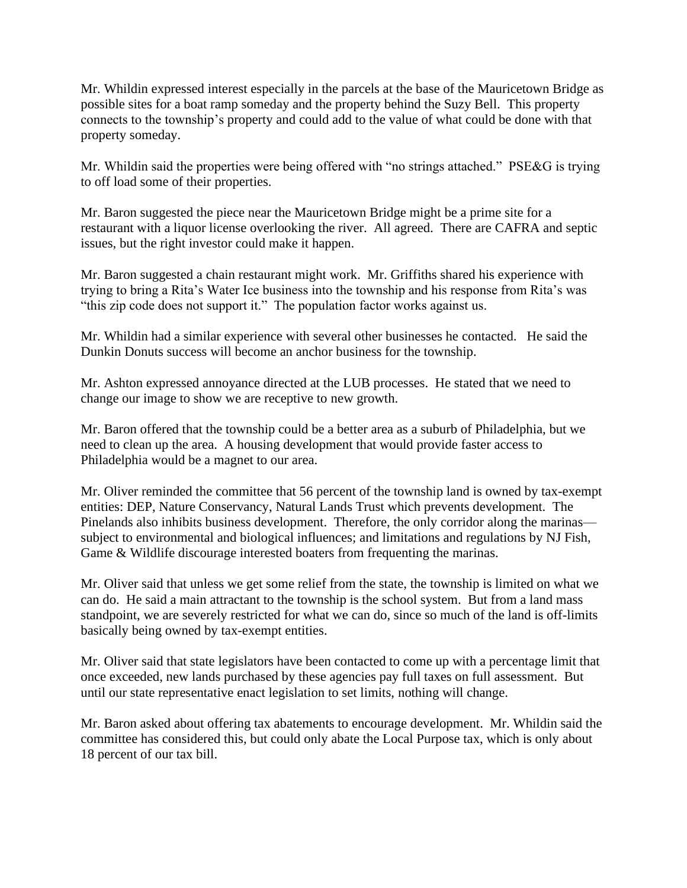Mr. Whildin expressed interest especially in the parcels at the base of the Mauricetown Bridge as possible sites for a boat ramp someday and the property behind the Suzy Bell. This property connects to the township's property and could add to the value of what could be done with that property someday.

Mr. Whildin said the properties were being offered with "no strings attached." PSE&G is trying to off load some of their properties.

Mr. Baron suggested the piece near the Mauricetown Bridge might be a prime site for a restaurant with a liquor license overlooking the river. All agreed. There are CAFRA and septic issues, but the right investor could make it happen.

Mr. Baron suggested a chain restaurant might work. Mr. Griffiths shared his experience with trying to bring a Rita's Water Ice business into the township and his response from Rita's was "this zip code does not support it." The population factor works against us.

Mr. Whildin had a similar experience with several other businesses he contacted. He said the Dunkin Donuts success will become an anchor business for the township.

Mr. Ashton expressed annoyance directed at the LUB processes. He stated that we need to change our image to show we are receptive to new growth.

Mr. Baron offered that the township could be a better area as a suburb of Philadelphia, but we need to clean up the area. A housing development that would provide faster access to Philadelphia would be a magnet to our area.

Mr. Oliver reminded the committee that 56 percent of the township land is owned by tax-exempt entities: DEP, Nature Conservancy, Natural Lands Trust which prevents development. The Pinelands also inhibits business development. Therefore, the only corridor along the marinas subject to environmental and biological influences; and limitations and regulations by NJ Fish, Game & Wildlife discourage interested boaters from frequenting the marinas.

Mr. Oliver said that unless we get some relief from the state, the township is limited on what we can do. He said a main attractant to the township is the school system. But from a land mass standpoint, we are severely restricted for what we can do, since so much of the land is off-limits basically being owned by tax-exempt entities.

Mr. Oliver said that state legislators have been contacted to come up with a percentage limit that once exceeded, new lands purchased by these agencies pay full taxes on full assessment. But until our state representative enact legislation to set limits, nothing will change.

Mr. Baron asked about offering tax abatements to encourage development. Mr. Whildin said the committee has considered this, but could only abate the Local Purpose tax, which is only about 18 percent of our tax bill.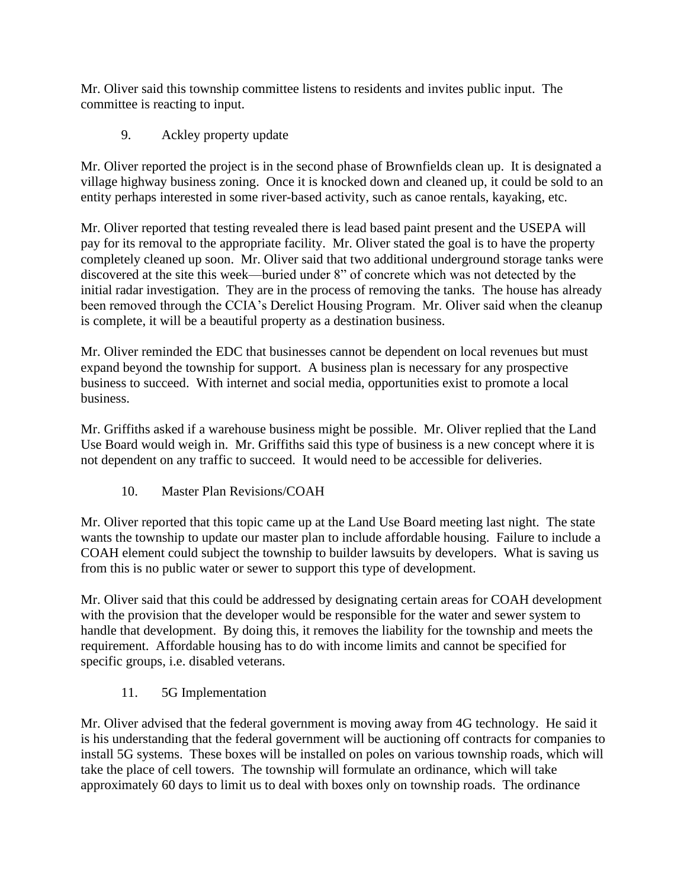Mr. Oliver said this township committee listens to residents and invites public input. The committee is reacting to input.

9. Ackley property update

Mr. Oliver reported the project is in the second phase of Brownfields clean up. It is designated a village highway business zoning. Once it is knocked down and cleaned up, it could be sold to an entity perhaps interested in some river-based activity, such as canoe rentals, kayaking, etc.

Mr. Oliver reported that testing revealed there is lead based paint present and the USEPA will pay for its removal to the appropriate facility. Mr. Oliver stated the goal is to have the property completely cleaned up soon. Mr. Oliver said that two additional underground storage tanks were discovered at the site this week—buried under 8" of concrete which was not detected by the initial radar investigation. They are in the process of removing the tanks. The house has already been removed through the CCIA's Derelict Housing Program. Mr. Oliver said when the cleanup is complete, it will be a beautiful property as a destination business.

Mr. Oliver reminded the EDC that businesses cannot be dependent on local revenues but must expand beyond the township for support. A business plan is necessary for any prospective business to succeed. With internet and social media, opportunities exist to promote a local business.

Mr. Griffiths asked if a warehouse business might be possible. Mr. Oliver replied that the Land Use Board would weigh in. Mr. Griffiths said this type of business is a new concept where it is not dependent on any traffic to succeed. It would need to be accessible for deliveries.

10. Master Plan Revisions/COAH

Mr. Oliver reported that this topic came up at the Land Use Board meeting last night. The state wants the township to update our master plan to include affordable housing. Failure to include a COAH element could subject the township to builder lawsuits by developers. What is saving us from this is no public water or sewer to support this type of development.

Mr. Oliver said that this could be addressed by designating certain areas for COAH development with the provision that the developer would be responsible for the water and sewer system to handle that development. By doing this, it removes the liability for the township and meets the requirement. Affordable housing has to do with income limits and cannot be specified for specific groups, i.e. disabled veterans.

11. 5G Implementation

Mr. Oliver advised that the federal government is moving away from 4G technology. He said it is his understanding that the federal government will be auctioning off contracts for companies to install 5G systems. These boxes will be installed on poles on various township roads, which will take the place of cell towers. The township will formulate an ordinance, which will take approximately 60 days to limit us to deal with boxes only on township roads. The ordinance